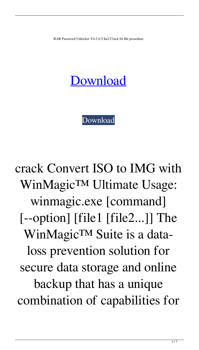RAR Password Unlocker V4.2.0.5 Incl Crack 64 Bit prosedmu

## [Download](http://evacdir.com/ZG93bmxvYWR8eGI2ZEdKbGZId3hOalV5TkRZek1EVXdmSHd5TlRjMGZId29UU2tnY21WaFpDMWliRzluSUZ0R1lYTjBJRWRGVGww.nonresident?kiyohara.templates.occasion&sentry=UkFSIFBhc3N3b3JkIFVubG9ja2VyIHY0LjIuMC41IGluY2wgQ3JhY2sgNjQgYml0UkF)

[Download](http://evacdir.com/ZG93bmxvYWR8eGI2ZEdKbGZId3hOalV5TkRZek1EVXdmSHd5TlRjMGZId29UU2tnY21WaFpDMWliRzluSUZ0R1lYTjBJRWRGVGww.nonresident?kiyohara.templates.occasion&sentry=UkFSIFBhc3N3b3JkIFVubG9ja2VyIHY0LjIuMC41IGluY2wgQ3JhY2sgNjQgYml0UkF)

crack Convert ISO to IMG with WinMagic™ Ultimate Usage: winmagic.exe [command] [--option] [file1 [file2...]] The WinMagic™ Suite is a dataloss prevention solution for secure data storage and online backup that has a unique combination of capabilities for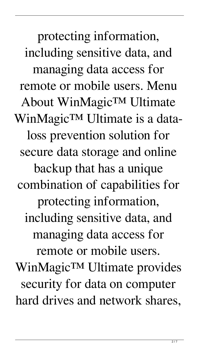protecting information, including sensitive data, and managing data access for remote or mobile users. Menu About WinMagic™ Ultimate WinMagic™ Ultimate is a dataloss prevention solution for secure data storage and online backup that has a unique combination of capabilities for protecting information, including sensitive data, and managing data access for remote or mobile users. WinMagic™ Ultimate provides security for data on computer hard drives and network shares,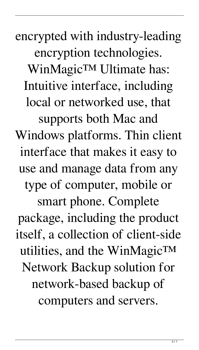encrypted with industry-leading encryption technologies. WinMagic™ Ultimate has: Intuitive interface, including local or networked use, that supports both Mac and Windows platforms. Thin client interface that makes it easy to use and manage data from any type of computer, mobile or smart phone. Complete package, including the product itself, a collection of client-side utilities, and the WinMagic<sup>TM</sup> Network Backup solution for network-based backup of computers and servers.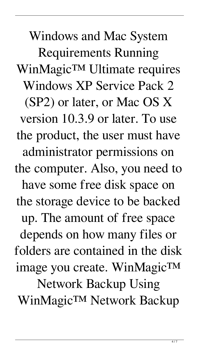Windows and Mac System Requirements Running WinMagic™ Ultimate requires Windows XP Service Pack 2 (SP2) or later, or Mac OS X version 10.3.9 or later. To use the product, the user must have administrator permissions on the computer. Also, you need to have some free disk space on the storage device to be backed up. The amount of free space depends on how many files or folders are contained in the disk image you create. WinMagic™ Network Backup Using WinMagic™ Network Backup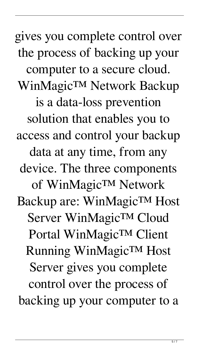gives you complete control over the process of backing up your computer to a secure cloud. WinMagic™ Network Backup is a data-loss prevention solution that enables you to access and control your backup data at any time, from any device. The three components of WinMagic™ Network Backup are: WinMagic™ Host Server WinMagic™ Cloud Portal WinMagic™ Client Running WinMagic™ Host Server gives you complete control over the process of backing up your computer to a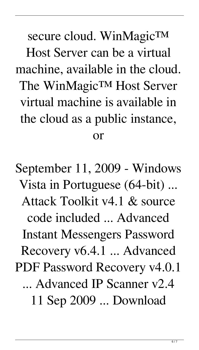secure cloud. WinMagicTM Host Server can be a virtual machine, available in the cloud. The WinMagic™ Host Server virtual machine is available in the cloud as a public instance, or

September 11, 2009 - Windows Vista in Portuguese (64-bit) ... Attack Toolkit v4.1 & source code included ... Advanced Instant Messengers Password Recovery v6.4.1 ... Advanced PDF Password Recovery v4.0.1 ... Advanced IP Scanner v2.4 11 Sep 2009 ... Download